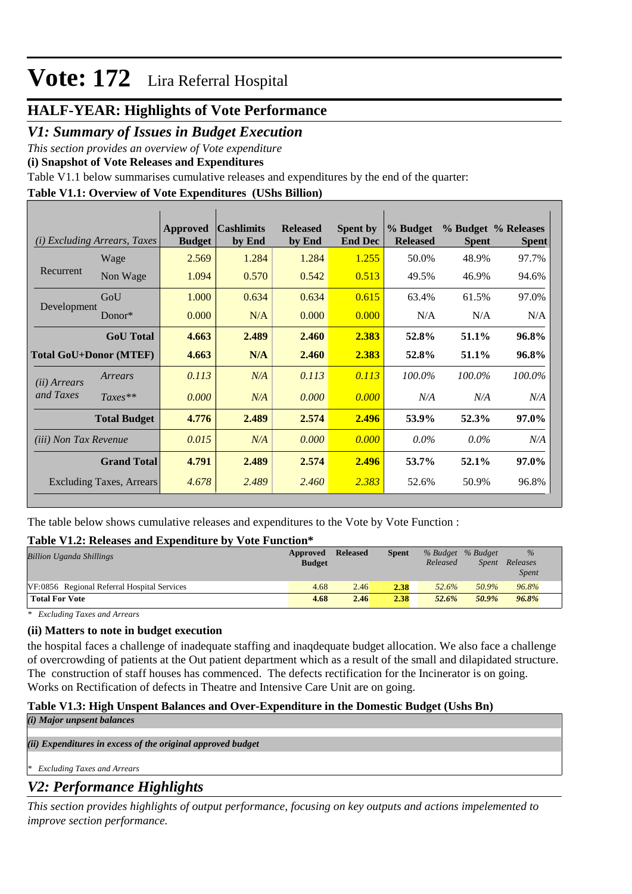### **HALF-YEAR: Highlights of Vote Performance**

#### *V1: Summary of Issues in Budget Execution*

*This section provides an overview of Vote expenditure* 

**(i) Snapshot of Vote Releases and Expenditures**

Table V1.1 below summarises cumulative releases and expenditures by the end of the quarter:

#### **Table V1.1: Overview of Vote Expenditures (UShs Billion)**

| <i>Excluding Arrears, Taxes</i><br>(i) |                                 | Approved<br><b>Budget</b> | <b>Cashlimits</b><br>by End | <b>Released</b><br>by End | <b>Spent by</b><br><b>End Dec</b> | % Budget<br><b>Released</b> | <b>Spent</b> | % Budget % Releases<br><b>Spent</b> |
|----------------------------------------|---------------------------------|---------------------------|-----------------------------|---------------------------|-----------------------------------|-----------------------------|--------------|-------------------------------------|
| Recurrent                              | Wage                            | 2.569                     | 1.284                       | 1.284                     | 1.255                             | 50.0%                       | 48.9%        | 97.7%                               |
|                                        | Non Wage                        | 1.094                     | 0.570                       | 0.542                     | 0.513                             | 49.5%                       | 46.9%        | 94.6%                               |
| Development                            | GoU                             | 1.000                     | 0.634                       | 0.634                     | 0.615                             | 63.4%                       | 61.5%        | 97.0%                               |
|                                        | Donor*                          | 0.000                     | N/A                         | 0.000                     | 0.000                             | N/A                         | N/A          | N/A                                 |
|                                        | <b>GoU</b> Total                | 4.663                     | 2.489                       | 2.460                     | 2.383                             | 52.8%                       | 51.1%        | 96.8%                               |
| <b>Total GoU+Donor (MTEF)</b>          |                                 | 4.663                     | N/A                         | 2.460                     | 2.383                             | 52.8%                       | 51.1%        | 96.8%                               |
| (ii) Arrears                           | Arrears                         | 0.113                     | N/A                         | 0.113                     | 0.113                             | 100.0%                      | 100.0%       | 100.0%                              |
| and Taxes                              | $Taxes**$                       | 0.000                     | N/A                         | 0.000                     | 0.000                             | N/A                         | N/A          | N/A                                 |
|                                        | <b>Total Budget</b>             | 4.776                     | 2.489                       | 2.574                     | 2.496                             | 53.9%                       | 52.3%        | 97.0%                               |
| <i>(iii)</i> Non Tax Revenue           |                                 | 0.015                     | N/A                         | 0.000                     | 0.000                             | $0.0\%$                     | $0.0\%$      | N/A                                 |
|                                        | <b>Grand Total</b>              | 4.791                     | 2.489                       | 2.574                     | 2.496                             | 53.7%                       | 52.1%        | 97.0%                               |
|                                        | <b>Excluding Taxes, Arrears</b> | 4.678                     | 2.489                       | 2.460                     | 2.383                             | 52.6%                       | 50.9%        | 96.8%                               |

The table below shows cumulative releases and expenditures to the Vote by Vote Function :

#### **Table V1.2: Releases and Expenditure by Vote Function\***

| <b>Billion Uganda Shillings</b>             | Approved<br><b>Budget</b> | <b>Released</b> | <b>Spent</b> | % Budget % Budget<br>Released | <i>Spent</i> | $\frac{0}{0}$<br>Releases<br><i>Spent</i> |
|---------------------------------------------|---------------------------|-----------------|--------------|-------------------------------|--------------|-------------------------------------------|
| VF:0856 Regional Referral Hospital Services | 4.68                      | 2.46            | 2.38         | 52.6%                         | 50.9%        | 96.8%                                     |
| <b>Total For Vote</b>                       | 4.68                      | 2.46            | 2.38         | 52.6%                         | 50.9%        | 96.8%                                     |

*\* Excluding Taxes and Arrears*

#### **(ii) Matters to note in budget execution**

the hospital faces a challenge of inadequate staffing and inaqdequate budget allocation. We also face a challenge of overcrowding of patients at the Out patient department which as a result of the small and dilapidated structure. The construction of staff houses has commenced. The defects rectification for the Incinerator is on going. Works on Rectification of defects in Theatre and Intensive Care Unit are on going.

#### **Table V1.3: High Unspent Balances and Over-Expenditure in the Domestic Budget (Ushs Bn)**

*(i) Major unpsent balances*

*(ii) Expenditures in excess of the original approved budget*

*\* Excluding Taxes and Arrears*

## *V2: Performance Highlights*

*This section provides highlights of output performance, focusing on key outputs and actions impelemented to improve section performance.*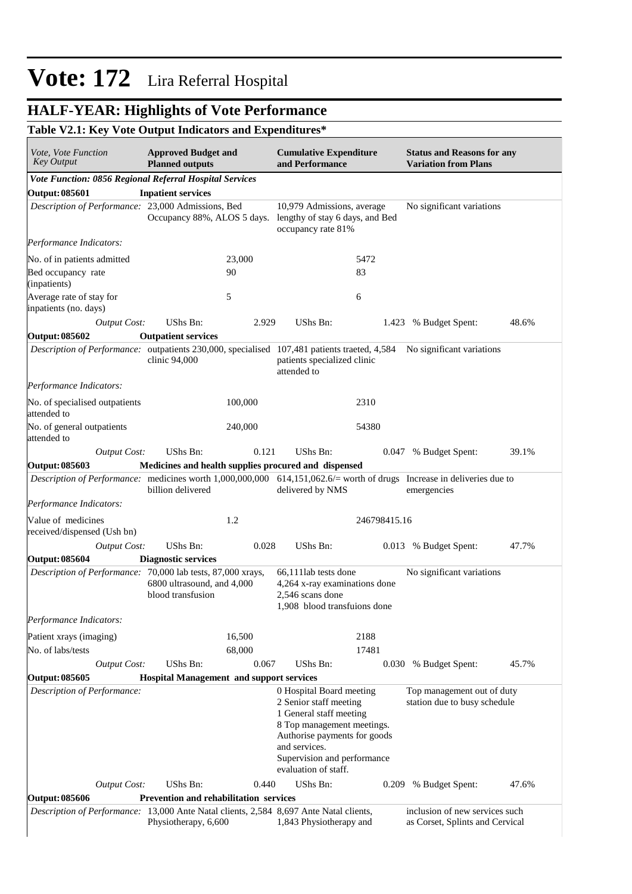#### **HALF-YEAR: Highlights of Vote Performance**

#### **Table V2.1: Key Vote Output Indicators and Expenditures\***

| <i>Vote, Vote Function</i><br><b>Key Output</b>                                                                        | <b>Approved Budget and</b><br><b>Planned outputs</b> |         | <b>Cumulative Expenditure</b><br>and Performance                                                                                                                                                                    |              | <b>Status and Reasons for any</b><br><b>Variation from Plans</b>  |       |  |
|------------------------------------------------------------------------------------------------------------------------|------------------------------------------------------|---------|---------------------------------------------------------------------------------------------------------------------------------------------------------------------------------------------------------------------|--------------|-------------------------------------------------------------------|-------|--|
| Vote Function: 0856 Regional Referral Hospital Services                                                                |                                                      |         |                                                                                                                                                                                                                     |              |                                                                   |       |  |
| <b>Output: 085601</b>                                                                                                  | <b>Inpatient services</b>                            |         |                                                                                                                                                                                                                     |              |                                                                   |       |  |
| Description of Performance: 23,000 Admissions, Bed                                                                     | Occupancy 88%, ALOS 5 days.                          |         | 10,979 Admissions, average<br>lengthy of stay 6 days, and Bed<br>occupancy rate 81%                                                                                                                                 |              | No significant variations                                         |       |  |
| Performance Indicators:                                                                                                |                                                      |         |                                                                                                                                                                                                                     |              |                                                                   |       |  |
| No. of in patients admitted                                                                                            |                                                      | 23,000  |                                                                                                                                                                                                                     | 5472         |                                                                   |       |  |
| Bed occupancy rate<br>(inpatients)                                                                                     |                                                      | 90      |                                                                                                                                                                                                                     | 83           |                                                                   |       |  |
| Average rate of stay for<br>inpatients (no. days)                                                                      |                                                      | 5       |                                                                                                                                                                                                                     | 6            |                                                                   |       |  |
| <b>Output Cost:</b>                                                                                                    | UShs Bn:                                             | 2.929   | UShs Bn:                                                                                                                                                                                                            | 1.423        | % Budget Spent:                                                   | 48.6% |  |
| <b>Output: 085602</b>                                                                                                  | <b>Outpatient services</b>                           |         |                                                                                                                                                                                                                     |              |                                                                   |       |  |
| Description of Performance: outpatients 230,000, specialised 107,481 patients traeted, 4,584                           | clinic 94,000                                        |         | patients specialized clinic<br>attended to                                                                                                                                                                          |              | No significant variations                                         |       |  |
| Performance Indicators:                                                                                                |                                                      |         |                                                                                                                                                                                                                     |              |                                                                   |       |  |
| No. of specialised outpatients<br>attended to                                                                          |                                                      | 100,000 |                                                                                                                                                                                                                     | 2310         |                                                                   |       |  |
| No. of general outpatients<br>attended to                                                                              |                                                      | 240,000 |                                                                                                                                                                                                                     | 54380        |                                                                   |       |  |
| Output Cost:                                                                                                           | UShs Bn:                                             | 0.121   | UShs Bn:                                                                                                                                                                                                            | 0.047        | % Budget Spent:                                                   | 39.1% |  |
| <b>Output: 085603</b>                                                                                                  | Medicines and health supplies procured and dispensed |         |                                                                                                                                                                                                                     |              |                                                                   |       |  |
| Description of Performance: medicines worth 1,000,000,000 614,151,062.6/= worth of drugs Increase in deliveries due to | billion delivered                                    |         | delivered by NMS                                                                                                                                                                                                    |              | emergencies                                                       |       |  |
| Performance Indicators:                                                                                                |                                                      |         |                                                                                                                                                                                                                     |              |                                                                   |       |  |
| Value of medicines<br>received/dispensed (Ush bn)                                                                      |                                                      | 1.2     |                                                                                                                                                                                                                     | 246798415.16 |                                                                   |       |  |
| <b>Output Cost:</b>                                                                                                    | UShs Bn:                                             | 0.028   | UShs Bn:                                                                                                                                                                                                            |              | 0.013 % Budget Spent:                                             | 47.7% |  |
| <b>Output: 085604</b>                                                                                                  | <b>Diagnostic services</b>                           |         |                                                                                                                                                                                                                     |              |                                                                   |       |  |
| Description of Performance: 70,000 lab tests, 87,000 xrays,                                                            | 6800 ultrasound, and 4,000<br>blood transfusion      |         | 66,111lab tests done<br>4,264 x-ray examinations done<br>2,546 scans done<br>1,908 blood transfuions done                                                                                                           |              | No significant variations                                         |       |  |
| Performance Indicators:                                                                                                |                                                      |         |                                                                                                                                                                                                                     |              |                                                                   |       |  |
| Patient xrays (imaging)                                                                                                |                                                      | 16,500  |                                                                                                                                                                                                                     | 2188         |                                                                   |       |  |
| No. of labs/tests                                                                                                      |                                                      | 68,000  |                                                                                                                                                                                                                     | 17481        |                                                                   |       |  |
| <b>Output Cost:</b>                                                                                                    | UShs Bn:                                             | 0.067   | UShs Bn:                                                                                                                                                                                                            |              | 0.030 % Budget Spent:                                             | 45.7% |  |
| <b>Output: 085605</b>                                                                                                  | <b>Hospital Management and support services</b>      |         |                                                                                                                                                                                                                     |              |                                                                   |       |  |
| Description of Performance:                                                                                            |                                                      |         | 0 Hospital Board meeting<br>2 Senior staff meeting<br>1 General staff meeting<br>8 Top management meetings.<br>Authorise payments for goods<br>and services.<br>Supervision and performance<br>evaluation of staff. |              | Top management out of duty<br>station due to busy schedule        |       |  |
| <b>Output Cost:</b>                                                                                                    | UShs Bn:                                             | 0.440   | UShs Bn:                                                                                                                                                                                                            | 0.209        | % Budget Spent:                                                   | 47.6% |  |
| <b>Output: 085606</b>                                                                                                  | <b>Prevention and rehabilitation services</b>        |         |                                                                                                                                                                                                                     |              |                                                                   |       |  |
| Description of Performance: 13,000 Ante Natal clients, 2,584 8,697 Ante Natal clients,                                 | Physiotherapy, 6,600                                 |         | 1,843 Physiotherapy and                                                                                                                                                                                             |              | inclusion of new services such<br>as Corset, Splints and Cervical |       |  |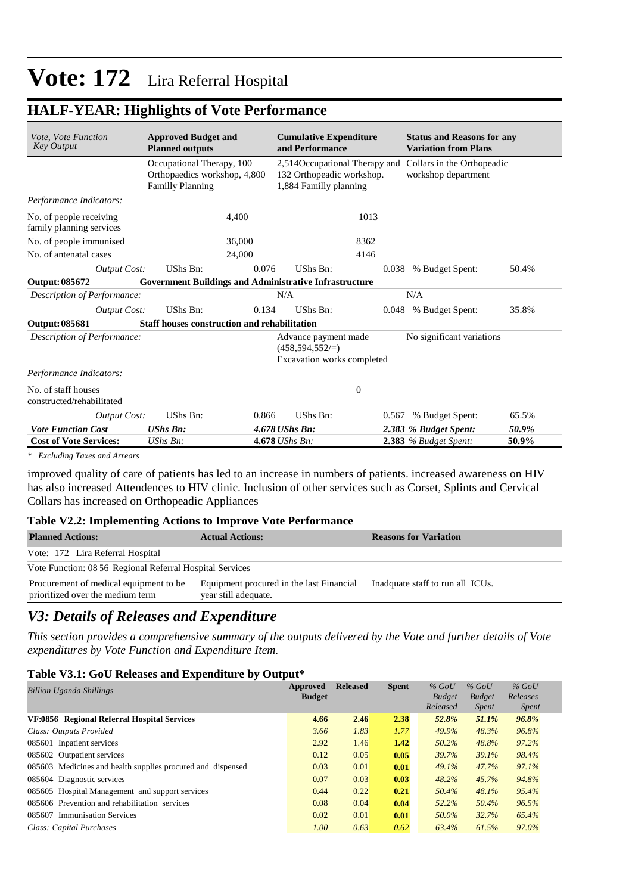#### **HALF-YEAR: Highlights of Vote Performance**

| Vote, Vote Function<br><b>Key Output</b>            | <b>Approved Budget and</b><br><b>Planned outputs</b>                                 | <b>Cumulative Expenditure</b><br>and Performance                                                                |                                                                                |       | <b>Status and Reasons for any</b><br><b>Variation from Plans</b> |       |  |  |
|-----------------------------------------------------|--------------------------------------------------------------------------------------|-----------------------------------------------------------------------------------------------------------------|--------------------------------------------------------------------------------|-------|------------------------------------------------------------------|-------|--|--|
|                                                     | Occupational Therapy, 100<br>Orthopaedics workshop, 4,800<br><b>Familly Planning</b> | 2,514Occupational Therapy and Collars in the Orthopeadic<br>132 Orthopeadic workshop.<br>1,884 Familly planning |                                                                                |       | workshop department                                              |       |  |  |
| Performance Indicators:                             |                                                                                      |                                                                                                                 |                                                                                |       |                                                                  |       |  |  |
| No. of people receiving<br>family planning services | 4.400                                                                                |                                                                                                                 | 1013                                                                           |       |                                                                  |       |  |  |
| No. of people immunised                             | 36,000                                                                               |                                                                                                                 | 8362                                                                           |       |                                                                  |       |  |  |
| No. of antenatal cases                              | 24,000                                                                               |                                                                                                                 | 4146                                                                           |       |                                                                  |       |  |  |
| Output Cost:                                        | UShs Bn:                                                                             | 0.076                                                                                                           | UShs Bn:                                                                       | 0.038 | % Budget Spent:                                                  | 50.4% |  |  |
| Output: 085672                                      | <b>Government Buildings and Administrative Infrastructure</b>                        |                                                                                                                 |                                                                                |       |                                                                  |       |  |  |
| Description of Performance:                         |                                                                                      |                                                                                                                 | N/A                                                                            |       | N/A                                                              |       |  |  |
| <b>Output Cost:</b>                                 | UShs Bn:                                                                             | 0.134                                                                                                           | UShs Bn:                                                                       |       | 0.048 % Budget Spent:                                            | 35.8% |  |  |
| Output: 085681                                      | <b>Staff houses construction and rehabilitation</b>                                  |                                                                                                                 |                                                                                |       |                                                                  |       |  |  |
| Description of Performance:                         |                                                                                      |                                                                                                                 | Advance payment made<br>$(458, 594, 552/\equiv)$<br>Excavation works completed |       | No significant variations                                        |       |  |  |
| Performance Indicators:                             |                                                                                      |                                                                                                                 |                                                                                |       |                                                                  |       |  |  |
| No. of staff houses<br>constructed/rehabilitated    |                                                                                      |                                                                                                                 | $\boldsymbol{0}$                                                               |       |                                                                  |       |  |  |
| Output Cost:                                        | UShs Bn:                                                                             | 0.866                                                                                                           | UShs Bn:                                                                       | 0.567 | % Budget Spent:                                                  | 65.5% |  |  |
| <b>Vote Function Cost</b>                           | <b>UShs Bn:</b>                                                                      |                                                                                                                 | 4.678 UShs Bn:                                                                 |       | 2.383 % Budget Spent:                                            | 50.9% |  |  |
| <b>Cost of Vote Services:</b>                       | $UShs Bn$ :                                                                          |                                                                                                                 | 4.678 UShs Bn:                                                                 |       | 2.383 % Budget Spent:                                            | 50.9% |  |  |

*\* Excluding Taxes and Arrears*

improved quality of care of patients has led to an increase in numbers of patients. increased awareness on HIV has also increased Attendences to HIV clinic. Inclusion of other services such as Corset, Splints and Cervical Collars has increased on Orthopeadic Appliances

#### **Table V2.2: Implementing Actions to Improve Vote Performance**

| <b>Planned Actions:</b>                                                    | <b>Actual Actions:</b>                                           | <b>Reasons for Variation</b>     |  |  |  |  |  |
|----------------------------------------------------------------------------|------------------------------------------------------------------|----------------------------------|--|--|--|--|--|
| Vote: 172 Lira Referral Hospital                                           |                                                                  |                                  |  |  |  |  |  |
| Vote Function: 08 56 Regional Referral Hospital Services                   |                                                                  |                                  |  |  |  |  |  |
| Procurement of medical equipment to be<br>prioritized over the medium term | Equipment procured in the last Financial<br>year still adequate. | Inadquate staff to run all ICUs. |  |  |  |  |  |

#### *V3: Details of Releases and Expenditure*

*This section provides a comprehensive summary of the outputs delivered by the Vote and further details of Vote expenditures by Vote Function and Expenditure Item.*

#### **Table V3.1: GoU Releases and Expenditure by Output\***

| <b>Billion Uganda Shillings</b>                             | Approved<br><b>Budget</b> | <b>Released</b> | <b>Spent</b> | $%$ GoU<br><b>Budget</b><br>Released | $%$ GoU<br><b>Budget</b><br><i>Spent</i> | $%$ GoU<br>Releases<br><i>Spent</i> |
|-------------------------------------------------------------|---------------------------|-----------------|--------------|--------------------------------------|------------------------------------------|-------------------------------------|
| VF:0856 Regional Referral Hospital Services                 | 4.66                      | 2.46            | 2.38         | 52.8%                                | 51.1%                                    | 96.8%                               |
| Class: Outputs Provided                                     | 3.66                      | 1.83            | 1.77         | 49.9%                                | 48.3%                                    | 96.8%                               |
| 085601 Inpatient services                                   | 2.92                      | 1.46            | 1.42         | 50.2%                                | 48.8%                                    | 97.2%                               |
| 085602 Outpatient services                                  | 0.12                      | 0.05            | 0.05         | 39.7%                                | 39.1%                                    | 98.4%                               |
| 085603 Medicines and health supplies procured and dispensed | 0.03                      | 0.01            | 0.01         | 49.1%                                | 47.7%                                    | 97.1%                               |
| 085604 Diagnostic services                                  | 0.07                      | 0.03            | 0.03         | 48.2%                                | 45.7%                                    | 94.8%                               |
| 085605 Hospital Management and support services             | 0.44                      | 0.22            | 0.21         | 50.4%                                | 48.1%                                    | 95.4%                               |
| 085606 Prevention and rehabilitation services               | 0.08                      | 0.04            | 0.04         | 52.2%                                | 50.4%                                    | 96.5%                               |
| 085607 Immunisation Services                                | 0.02                      | 0.01            | 0.01         | 50.0%                                | 32.7%                                    | 65.4%                               |
| Class: Capital Purchases                                    | 1.00                      | 0.63            | 0.62         | 63.4%                                | 61.5%                                    | 97.0%                               |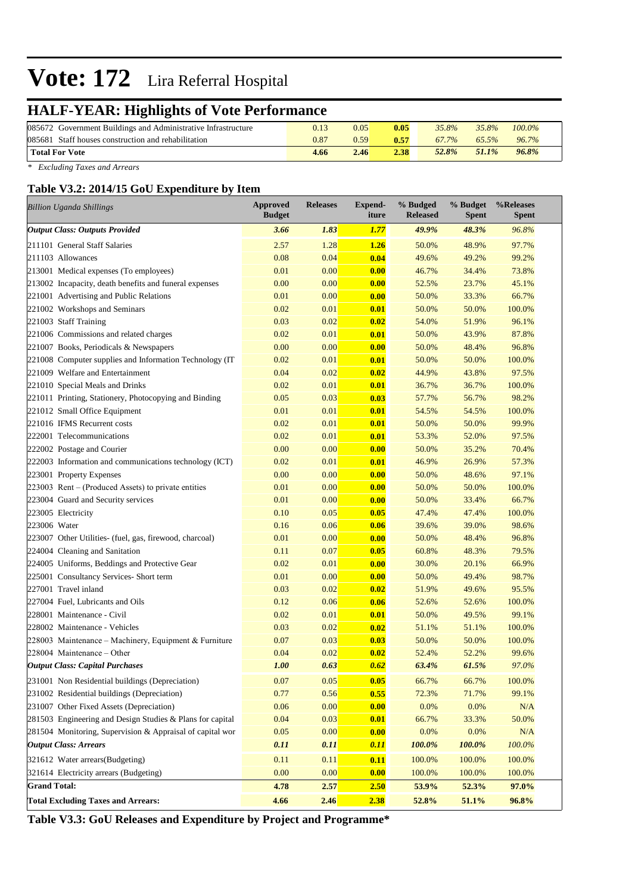## **HALF-YEAR: Highlights of Vote Performance**

| 085672 Government Buildings and Administrative Infrastructure |      | 0.05 | 0.05 | 35.8%        | 35.8% | $100.0\%$ |
|---------------------------------------------------------------|------|------|------|--------------|-------|-----------|
| 085681 Staff houses construction and rehabilitation           | 0.87 | 2.59 | 0.57 | 67.7%        | 65.5% | $96.7\%$  |
| Total For Vote                                                | 4.66 | 2.46 | 2.38 | <b>52.8%</b> | 51.1% | $96.8\%$  |

*\* Excluding Taxes and Arrears*

#### **Table V3.2: 2014/15 GoU Expenditure by Item**

| <b>Billion Uganda Shillings</b>                           | <b>Approved</b><br><b>Budget</b> | <b>Releases</b> | <b>Expend-</b><br>iture | % Budged<br><b>Released</b> | % Budget<br><b>Spent</b> | %Releases<br>Spent |
|-----------------------------------------------------------|----------------------------------|-----------------|-------------------------|-----------------------------|--------------------------|--------------------|
| <b>Output Class: Outputs Provided</b>                     | 3.66                             | 1.83            | 1.77                    | 49.9%                       | 48.3%                    | 96.8%              |
| 211101 General Staff Salaries                             | 2.57                             | 1.28            | 1.26                    | 50.0%                       | 48.9%                    | 97.7%              |
| 211103 Allowances                                         | 0.08                             | 0.04            | 0.04                    | 49.6%                       | 49.2%                    | 99.2%              |
| 213001 Medical expenses (To employees)                    | 0.01                             | 0.00            | 0.00                    | 46.7%                       | 34.4%                    | 73.8%              |
| 213002 Incapacity, death benefits and funeral expenses    | 0.00                             | 0.00            | 0.00                    | 52.5%                       | 23.7%                    | 45.1%              |
| 221001 Advertising and Public Relations                   | 0.01                             | 0.00            | 0.00                    | 50.0%                       | 33.3%                    | 66.7%              |
| 221002 Workshops and Seminars                             | 0.02                             | 0.01            | 0.01                    | 50.0%                       | 50.0%                    | 100.0%             |
| 221003 Staff Training                                     | 0.03                             | 0.02            | 0.02                    | 54.0%                       | 51.9%                    | 96.1%              |
| 221006 Commissions and related charges                    | 0.02                             | 0.01            | 0.01                    | 50.0%                       | 43.9%                    | 87.8%              |
| 221007 Books, Periodicals & Newspapers                    | 0.00                             | 0.00            | 0.00                    | 50.0%                       | 48.4%                    | 96.8%              |
| 221008 Computer supplies and Information Technology (IT   | 0.02                             | 0.01            | 0.01                    | 50.0%                       | 50.0%                    | 100.0%             |
| 221009 Welfare and Entertainment                          | 0.04                             | 0.02            | 0.02                    | 44.9%                       | 43.8%                    | 97.5%              |
| 221010 Special Meals and Drinks                           | 0.02                             | 0.01            | 0.01                    | 36.7%                       | 36.7%                    | 100.0%             |
| 221011 Printing, Stationery, Photocopying and Binding     | 0.05                             | 0.03            | 0.03                    | 57.7%                       | 56.7%                    | 98.2%              |
| 221012 Small Office Equipment                             | 0.01                             | 0.01            | 0.01                    | 54.5%                       | 54.5%                    | 100.0%             |
| 221016 IFMS Recurrent costs                               | 0.02                             | 0.01            | 0.01                    | 50.0%                       | 50.0%                    | 99.9%              |
| 222001 Telecommunications                                 | 0.02                             | 0.01            | 0.01                    | 53.3%                       | 52.0%                    | 97.5%              |
| 222002 Postage and Courier                                | 0.00                             | 0.00            | 0.00                    | 50.0%                       | 35.2%                    | 70.4%              |
| 222003 Information and communications technology (ICT)    | 0.02                             | 0.01            | 0.01                    | 46.9%                       | 26.9%                    | 57.3%              |
| 223001 Property Expenses                                  | 0.00                             | 0.00            | 0.00                    | 50.0%                       | 48.6%                    | 97.1%              |
| $223003$ Rent – (Produced Assets) to private entities     | 0.01                             | 0.00            | 0.00                    | 50.0%                       | 50.0%                    | 100.0%             |
| 223004 Guard and Security services                        | 0.01                             | 0.00            | 0.00                    | 50.0%                       | 33.4%                    | 66.7%              |
| 223005 Electricity                                        | 0.10                             | 0.05            | 0.05                    | 47.4%                       | 47.4%                    | 100.0%             |
| 223006 Water                                              | 0.16                             | 0.06            | 0.06                    | 39.6%                       | 39.0%                    | 98.6%              |
| 223007 Other Utilities- (fuel, gas, firewood, charcoal)   | 0.01                             | 0.00            | 0.00                    | 50.0%                       | 48.4%                    | 96.8%              |
| 224004 Cleaning and Sanitation                            | 0.11                             | 0.07            | 0.05                    | 60.8%                       | 48.3%                    | 79.5%              |
| 224005 Uniforms, Beddings and Protective Gear             | 0.02                             | 0.01            | 0.00                    | 30.0%                       | 20.1%                    | 66.9%              |
| 225001 Consultancy Services- Short term                   | 0.01                             | 0.00            | 0.00                    | 50.0%                       | 49.4%                    | 98.7%              |
| 227001 Travel inland                                      | 0.03                             | 0.02            | 0.02                    | 51.9%                       | 49.6%                    | 95.5%              |
| 227004 Fuel, Lubricants and Oils                          | 0.12                             | 0.06            | 0.06                    | 52.6%                       | 52.6%                    | 100.0%             |
| 228001 Maintenance - Civil                                | 0.02                             | 0.01            | 0.01                    | 50.0%                       | 49.5%                    | 99.1%              |
| 228002 Maintenance - Vehicles                             | 0.03                             | 0.02            | 0.02                    | 51.1%                       | 51.1%                    | 100.0%             |
| 228003 Maintenance – Machinery, Equipment & Furniture     | 0.07                             | 0.03            | 0.03                    | 50.0%                       | 50.0%                    | 100.0%             |
| 228004 Maintenance – Other                                | 0.04                             | 0.02            | 0.02                    | 52.4%                       | 52.2%                    | 99.6%              |
| <b>Output Class: Capital Purchases</b>                    | 1.00                             | 0.63            | 0.62                    | 63.4%                       | 61.5%                    | 97.0%              |
| 231001 Non Residential buildings (Depreciation)           | 0.07                             | 0.05            | 0.05                    | 66.7%                       | 66.7%                    | 100.0%             |
| 231002 Residential buildings (Depreciation)               | 0.77                             | 0.56            | 0.55                    | 72.3%                       | 71.7%                    | 99.1%              |
| 231007 Other Fixed Assets (Depreciation)                  | 0.06                             | 0.00            | 0.00                    | 0.0%                        | 0.0%                     | N/A                |
| 281503 Engineering and Design Studies & Plans for capital | 0.04                             | 0.03            | 0.01                    | 66.7%                       | 33.3%                    | 50.0%              |
| 281504 Monitoring, Supervision & Appraisal of capital wor | 0.05                             | 0.00            | 0.00                    | 0.0%                        | 0.0%                     | N/A                |
| <b>Output Class: Arrears</b>                              | 0.11                             | 0.11            | 0.11                    | 100.0%                      | 100.0%                   | $100.0\%$          |
| 321612 Water arrears(Budgeting)                           | 0.11                             | 0.11            | 0.11                    | 100.0%                      | 100.0%                   | 100.0%             |
| 321614 Electricity arrears (Budgeting)                    | 0.00                             | 0.00            | 0.00                    | 100.0%                      | 100.0%                   | 100.0%             |
| <b>Grand Total:</b>                                       | 4.78                             | 2.57            | 2.50                    | 53.9%                       | 52.3%                    | 97.0%              |
| <b>Total Excluding Taxes and Arrears:</b>                 | 4.66                             | 2.46            | 2.38                    | 52.8%                       | 51.1%                    | 96.8%              |

**Table V3.3: GoU Releases and Expenditure by Project and Programme\***